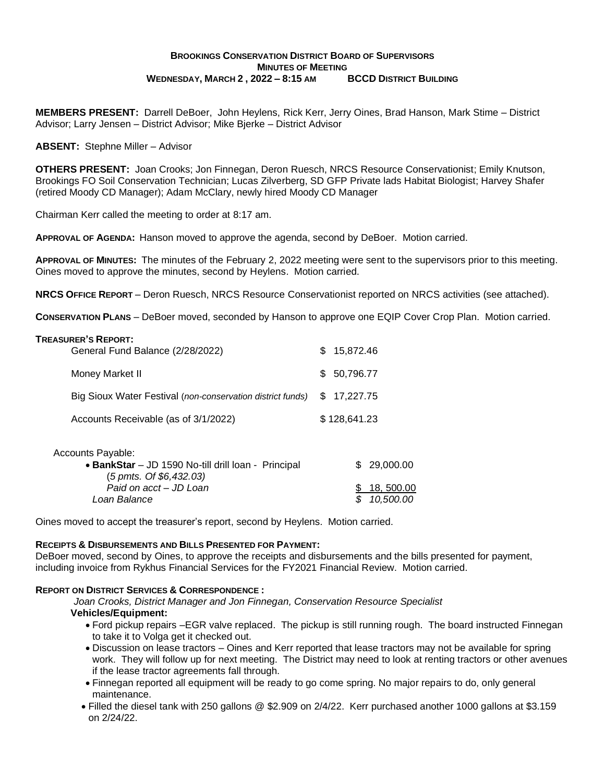# **BROOKINGS CONSERVATION DISTRICT BOARD OF SUPERVISORS MINUTES OF MEETING WEDNESDAY, MARCH 2 , 2022 – 8:15 AM BCCD DISTRICT BUILDING**

**MEMBERS PRESENT:** Darrell DeBoer, John Heylens, Rick Kerr, Jerry Oines, Brad Hanson, Mark Stime – District Advisor; Larry Jensen – District Advisor; Mike Bjerke – District Advisor

**ABSENT:** Stephne Miller – Advisor

**OTHERS PRESENT:** Joan Crooks; Jon Finnegan, Deron Ruesch, NRCS Resource Conservationist; Emily Knutson, Brookings FO Soil Conservation Technician; Lucas Zilverberg, SD GFP Private lads Habitat Biologist; Harvey Shafer (retired Moody CD Manager); Adam McClary, newly hired Moody CD Manager

Chairman Kerr called the meeting to order at 8:17 am.

**APPROVAL OF AGENDA:** Hanson moved to approve the agenda, second by DeBoer. Motion carried.

**APPROVAL OF MINUTES:** The minutes of the February 2, 2022 meeting were sent to the supervisors prior to this meeting. Oines moved to approve the minutes, second by Heylens. Motion carried.

**NRCS OFFICE REPORT** – Deron Ruesch, NRCS Resource Conservationist reported on NRCS activities (see attached).

**CONSERVATION PLANS** – DeBoer moved, seconded by Hanson to approve one EQIP Cover Crop Plan. Motion carried.

| <b>TREASURER'S REPORT:</b><br>General Fund Balance (2/28/2022) | \$15,872.46  |
|----------------------------------------------------------------|--------------|
| Money Market II                                                | \$ 50,796.77 |
| Big Sioux Water Festival (non-conservation district funds)     | \$17,227.75  |
| Accounts Receivable (as of 3/1/2022)                           | \$128,641.23 |
|                                                                |              |

| Accounts Payable:                                   |              |
|-----------------------------------------------------|--------------|
| • BankStar - JD 1590 No-till drill loan - Principal | \$ 29,000,00 |
| $(5 \text{ pmts. Of } $6,432.03)$                   |              |
| Paid on acct - JD Loan                              | \$18,500.00  |
| Loan Balance                                        | \$10.500.00  |

Oines moved to accept the treasurer's report, second by Heylens. Motion carried.

### **RECEIPTS & DISBURSEMENTS AND BILLS PRESENTED FOR PAYMENT:**

DeBoer moved, second by Oines, to approve the receipts and disbursements and the bills presented for payment, including invoice from Rykhus Financial Services for the FY2021 Financial Review. Motion carried.

## **REPORT ON DISTRICT SERVICES & CORRESPONDENCE :**

 *Joan Crooks, District Manager and Jon Finnegan, Conservation Resource Specialist* **Vehicles/Equipment:**

- Ford pickup repairs –EGR valve replaced. The pickup is still running rough. The board instructed Finnegan to take it to Volga get it checked out.
- Discussion on lease tractors Oines and Kerr reported that lease tractors may not be available for spring work. They will follow up for next meeting. The District may need to look at renting tractors or other avenues if the lease tractor agreements fall through.
- Finnegan reported all equipment will be ready to go come spring. No major repairs to do, only general maintenance.
- Filled the diesel tank with 250 gallons @ \$2.909 on 2/4/22. Kerr purchased another 1000 gallons at \$3.159 on 2/24/22.